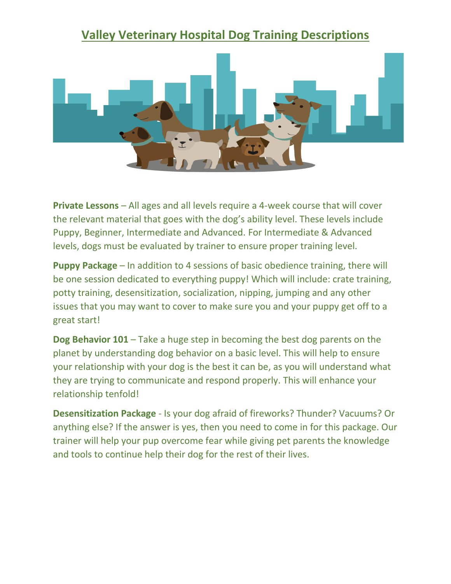## **Valley Veterinary Hospital Dog Training Descriptions**



**Private Lessons** – All ages and all levels require a 4-week course that will cover the relevant material that goes with the dog's ability level. These levels include Puppy, Beginner, Intermediate and Advanced. For Intermediate & Advanced levels, dogs must be evaluated by trainer to ensure proper training level.

**Puppy Package** – In addition to 4 sessions of basic obedience training, there will be one session dedicated to everything puppy! Which will include: crate training, potty training, desensitization, socialization, nipping, jumping and any other issues that you may want to cover to make sure you and your puppy get off to a great start!

**Dog Behavior 101** – Take a huge step in becoming the best dog parents on the planet by understanding dog behavior on a basic level. This will help to ensure your relationship with your dog is the best it can be, as you will understand what they are trying to communicate and respond properly. This will enhance your relationship tenfold!

**Desensitization Package** - Is your dog afraid of fireworks? Thunder? Vacuums? Or anything else? If the answer is yes, then you need to come in for this package. Our trainer will help your pup overcome fear while giving pet parents the knowledge and tools to continue help their dog for the rest of their lives.